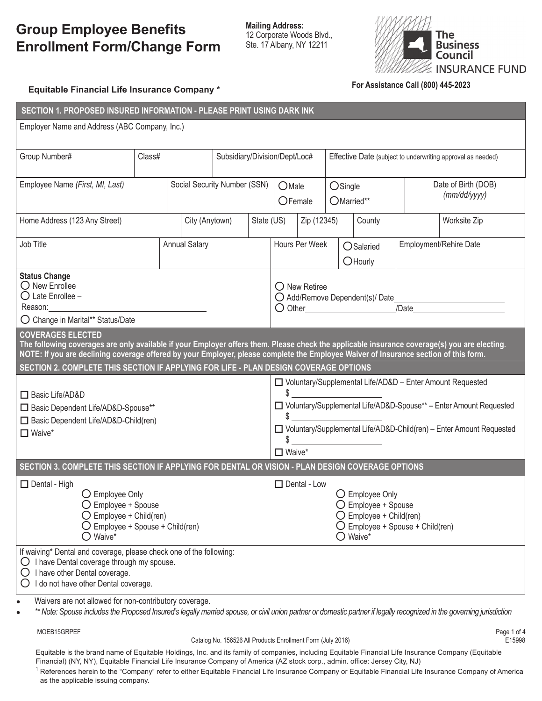## **Group Employee Benefits Enrollment Form/Change Form**

**Mailing Address:** 12 Corporate Woods Blvd., Ste. 17 Albany, NY 12211



## **Equitable Financial Life Insurance Company \* For Assistance Call (800) 445-2023**

| Employer Name and Address (ABC Company, Inc.)                                                                                                                                                                                                                                        |  |  |  |  |  |  |  |  |  |
|--------------------------------------------------------------------------------------------------------------------------------------------------------------------------------------------------------------------------------------------------------------------------------------|--|--|--|--|--|--|--|--|--|
|                                                                                                                                                                                                                                                                                      |  |  |  |  |  |  |  |  |  |
| Effective Date (subject to underwriting approval as needed)                                                                                                                                                                                                                          |  |  |  |  |  |  |  |  |  |
| Date of Birth (DOB)                                                                                                                                                                                                                                                                  |  |  |  |  |  |  |  |  |  |
| OSingle<br>(mm/dd/yyyy)<br>OMarried**                                                                                                                                                                                                                                                |  |  |  |  |  |  |  |  |  |
|                                                                                                                                                                                                                                                                                      |  |  |  |  |  |  |  |  |  |
| County<br>Worksite Zip                                                                                                                                                                                                                                                               |  |  |  |  |  |  |  |  |  |
| Employment/Rehire Date<br>OSalaried                                                                                                                                                                                                                                                  |  |  |  |  |  |  |  |  |  |
|                                                                                                                                                                                                                                                                                      |  |  |  |  |  |  |  |  |  |
|                                                                                                                                                                                                                                                                                      |  |  |  |  |  |  |  |  |  |
|                                                                                                                                                                                                                                                                                      |  |  |  |  |  |  |  |  |  |
|                                                                                                                                                                                                                                                                                      |  |  |  |  |  |  |  |  |  |
| O Change in Marital** Status/Date<br><b>COVERAGES ELECTED</b>                                                                                                                                                                                                                        |  |  |  |  |  |  |  |  |  |
| The following coverages are only available if your Employer offers them. Please check the applicable insurance coverage(s) you are electing.<br>NOTE: If you are declining coverage offered by your Employer, please complete the Employee Waiver of Insurance section of this form. |  |  |  |  |  |  |  |  |  |
| SECTION 2. COMPLETE THIS SECTION IF APPLYING FOR LIFE - PLAN DESIGN COVERAGE OPTIONS                                                                                                                                                                                                 |  |  |  |  |  |  |  |  |  |
| □ Voluntary/Supplemental Life/AD&D - Enter Amount Requested                                                                                                                                                                                                                          |  |  |  |  |  |  |  |  |  |
| $\frac{1}{2}$<br>□ Voluntary/Supplemental Life/AD&D-Spouse** - Enter Amount Requested                                                                                                                                                                                                |  |  |  |  |  |  |  |  |  |
| $\begin{array}{c} \updownarrow \\ \downarrow \end{array}$                                                                                                                                                                                                                            |  |  |  |  |  |  |  |  |  |
| □ Voluntary/Supplemental Life/AD&D-Child(ren) - Enter Amount Requested<br>$\sim$                                                                                                                                                                                                     |  |  |  |  |  |  |  |  |  |
|                                                                                                                                                                                                                                                                                      |  |  |  |  |  |  |  |  |  |
| $\Box$ Waive*<br>SECTION 3. COMPLETE THIS SECTION IF APPLYING FOR DENTAL OR VISION - PLAN DESIGN COVERAGE OPTIONS                                                                                                                                                                    |  |  |  |  |  |  |  |  |  |
|                                                                                                                                                                                                                                                                                      |  |  |  |  |  |  |  |  |  |
| O Employee Only<br>O Employee + Spouse                                                                                                                                                                                                                                               |  |  |  |  |  |  |  |  |  |
| $\bigcirc$ Employee + Child(ren)                                                                                                                                                                                                                                                     |  |  |  |  |  |  |  |  |  |
| $\bigcirc$ Employee + Spouse + Child(ren)<br>$\bigcirc$ Waive*                                                                                                                                                                                                                       |  |  |  |  |  |  |  |  |  |
|                                                                                                                                                                                                                                                                                      |  |  |  |  |  |  |  |  |  |
|                                                                                                                                                                                                                                                                                      |  |  |  |  |  |  |  |  |  |
|                                                                                                                                                                                                                                                                                      |  |  |  |  |  |  |  |  |  |
|                                                                                                                                                                                                                                                                                      |  |  |  |  |  |  |  |  |  |
|                                                                                                                                                                                                                                                                                      |  |  |  |  |  |  |  |  |  |

\*\* Note: Spouse includes the Proposed Insured's legally married spouse, or civil union partner or domestic partner if legally recognized in the governing jurisdiction

MOEB15GRPEF Page 1 of 4

Catalog No. 156526 All Products Enrollment Form (July 2016) Catalog No. 156526 All Products Enrollment Form (July 2016)

Equitable is the brand name of Equitable Holdings, Inc. and its family of companies, including Equitable Financial Life Insurance Company (Equitable Financial) (NY, NY), Equitable Financial Life Insurance Company of America (AZ stock corp., admin. office: Jersey City, NJ) <sup>1</sup> References herein to the "Company" refer to either Equitable Financial Life Insurance Company or Equitable Financial Life Insurance Company of America as the applicable issuing company.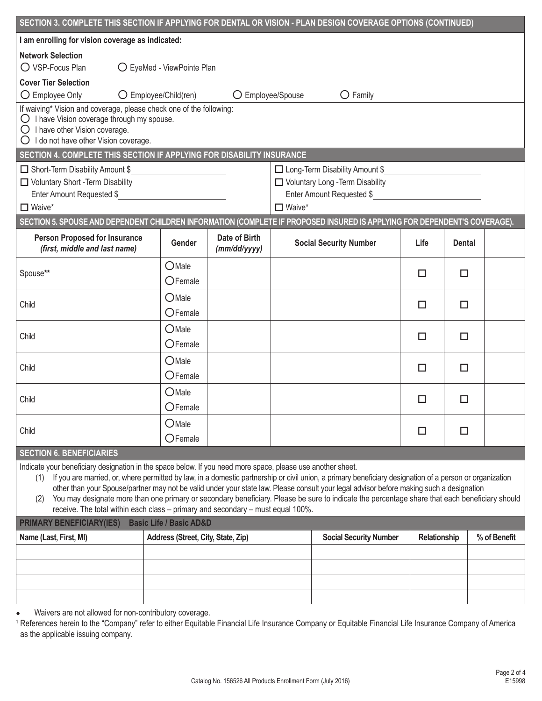| SECTION 3. COMPLETE THIS SECTION IF APPLYING FOR DENTAL OR VISION - PLAN DESIGN COVERAGE OPTIONS (CONTINUED)                                                                                                                                                                                                                                                                                                                                                                                                                                                                                                                                                          |                                    |                               |                                                                                                                    |                               |              |               |              |  |  |
|-----------------------------------------------------------------------------------------------------------------------------------------------------------------------------------------------------------------------------------------------------------------------------------------------------------------------------------------------------------------------------------------------------------------------------------------------------------------------------------------------------------------------------------------------------------------------------------------------------------------------------------------------------------------------|------------------------------------|-------------------------------|--------------------------------------------------------------------------------------------------------------------|-------------------------------|--------------|---------------|--------------|--|--|
| I am enrolling for vision coverage as indicated:                                                                                                                                                                                                                                                                                                                                                                                                                                                                                                                                                                                                                      |                                    |                               |                                                                                                                    |                               |              |               |              |  |  |
| <b>Network Selection</b><br>O VSP-Focus Plan<br>○ EyeMed - ViewPointe Plan                                                                                                                                                                                                                                                                                                                                                                                                                                                                                                                                                                                            |                                    |                               |                                                                                                                    |                               |              |               |              |  |  |
| <b>Cover Tier Selection</b><br>O Employee Only<br>$\bigcirc$ Employee/Child(ren)<br>O Employee/Spouse<br>$\bigcirc$ Family                                                                                                                                                                                                                                                                                                                                                                                                                                                                                                                                            |                                    |                               |                                                                                                                    |                               |              |               |              |  |  |
| If waiving* Vision and coverage, please check one of the following:<br>$\bigcirc$ I have Vision coverage through my spouse.<br>$\bigcirc$ I have other Vision coverage.<br>O I do not have other Vision coverage.                                                                                                                                                                                                                                                                                                                                                                                                                                                     |                                    |                               |                                                                                                                    |                               |              |               |              |  |  |
| SECTION 4. COMPLETE THIS SECTION IF APPLYING FOR DISABILITY INSURANCE                                                                                                                                                                                                                                                                                                                                                                                                                                                                                                                                                                                                 |                                    |                               |                                                                                                                    |                               |              |               |              |  |  |
| Short-Term Disability Amount \$<br><u> 1990 - Johann Barbara, martxa a</u><br>□ Voluntary Short - Term Disability<br>$\Box$ Waive*                                                                                                                                                                                                                                                                                                                                                                                                                                                                                                                                    |                                    |                               | □ Long-Term Disability Amount \$<br>Voluntary Long - Term Disability<br>Enter Amount Requested \$<br>$\Box$ Waive* |                               |              |               |              |  |  |
| SECTION 5. SPOUSE AND DEPENDENT CHILDREN INFORMATION (COMPLETE IF PROPOSED INSURED IS APPLYING FOR DEPENDENT'S COVERAGE).                                                                                                                                                                                                                                                                                                                                                                                                                                                                                                                                             |                                    |                               |                                                                                                                    |                               |              |               |              |  |  |
| <b>Person Proposed for Insurance</b><br>(first, middle and last name)                                                                                                                                                                                                                                                                                                                                                                                                                                                                                                                                                                                                 | Gender                             | Date of Birth<br>(mm/dd/yyyy) |                                                                                                                    | <b>Social Security Number</b> | Life         | <b>Dental</b> |              |  |  |
| Spouse**                                                                                                                                                                                                                                                                                                                                                                                                                                                                                                                                                                                                                                                              | OMale<br>OFemale                   |                               |                                                                                                                    |                               | □            | п             |              |  |  |
| Child                                                                                                                                                                                                                                                                                                                                                                                                                                                                                                                                                                                                                                                                 | OMale<br>OFemale                   |                               |                                                                                                                    |                               | □            | п             |              |  |  |
| Child                                                                                                                                                                                                                                                                                                                                                                                                                                                                                                                                                                                                                                                                 | $O$ Male<br>OFemale                |                               |                                                                                                                    |                               | $\Box$       | п             |              |  |  |
| Child                                                                                                                                                                                                                                                                                                                                                                                                                                                                                                                                                                                                                                                                 | OMale<br>$O$ Female                |                               |                                                                                                                    |                               | $\Box$       | □             |              |  |  |
| Child                                                                                                                                                                                                                                                                                                                                                                                                                                                                                                                                                                                                                                                                 | OMale<br>OFemale                   |                               |                                                                                                                    |                               | □            | п             |              |  |  |
| Child                                                                                                                                                                                                                                                                                                                                                                                                                                                                                                                                                                                                                                                                 | OMale<br>OFemale                   |                               |                                                                                                                    |                               | □            | П             |              |  |  |
| <b>SECTION 6. BENEFICIARIES</b>                                                                                                                                                                                                                                                                                                                                                                                                                                                                                                                                                                                                                                       |                                    |                               |                                                                                                                    |                               |              |               |              |  |  |
| Indicate your beneficiary designation in the space below. If you need more space, please use another sheet.<br>If you are married, or, where permitted by law, in a domestic partnership or civil union, a primary beneficiary designation of a person or organization<br>(1)<br>other than your Spouse/partner may not be valid under your state law. Please consult your legal advisor before making such a designation<br>You may designate more than one primary or secondary beneficiary. Please be sure to indicate the percentage share that each beneficiary should<br>(2)<br>receive. The total within each class - primary and secondary - must equal 100%. |                                    |                               |                                                                                                                    |                               |              |               |              |  |  |
| <b>PRIMARY BENEFICIARY(IES)</b>                                                                                                                                                                                                                                                                                                                                                                                                                                                                                                                                                                                                                                       | <b>Basic Life / Basic AD&amp;D</b> |                               |                                                                                                                    |                               |              |               |              |  |  |
| Name (Last, First, MI)                                                                                                                                                                                                                                                                                                                                                                                                                                                                                                                                                                                                                                                | Address (Street, City, State, Zip) |                               |                                                                                                                    | <b>Social Security Number</b> | Relationship |               | % of Benefit |  |  |
|                                                                                                                                                                                                                                                                                                                                                                                                                                                                                                                                                                                                                                                                       |                                    |                               |                                                                                                                    |                               |              |               |              |  |  |
|                                                                                                                                                                                                                                                                                                                                                                                                                                                                                                                                                                                                                                                                       |                                    |                               |                                                                                                                    |                               |              |               |              |  |  |
|                                                                                                                                                                                                                                                                                                                                                                                                                                                                                                                                                                                                                                                                       |                                    |                               |                                                                                                                    |                               |              |               |              |  |  |
|                                                                                                                                                                                                                                                                                                                                                                                                                                                                                                                                                                                                                                                                       |                                    |                               |                                                                                                                    |                               |              |               |              |  |  |

● Waivers are not allowed for non-contributory coverage.

<sup>1</sup> References herein to the "Company" refer to either Equitable Financial Life Insurance Company or Equitable Financial Life Insurance Company of America as the applicable issuing company.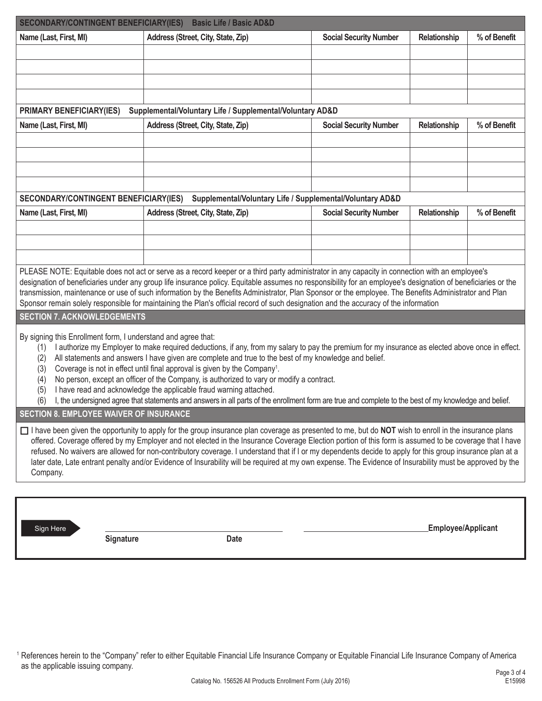| <b>SECONDARY/CONTINGENT BENEFICIARY(IES)</b>                                                                                                                                                                                                                                                                                                                                                                                                                                                                                                                                                                                                                                                                                                                                                                                                | <b>Basic Life / Basic AD&amp;D</b>                                                              |                                                           |              |              |  |  |  |  |
|---------------------------------------------------------------------------------------------------------------------------------------------------------------------------------------------------------------------------------------------------------------------------------------------------------------------------------------------------------------------------------------------------------------------------------------------------------------------------------------------------------------------------------------------------------------------------------------------------------------------------------------------------------------------------------------------------------------------------------------------------------------------------------------------------------------------------------------------|-------------------------------------------------------------------------------------------------|-----------------------------------------------------------|--------------|--------------|--|--|--|--|
| Name (Last, First, MI)                                                                                                                                                                                                                                                                                                                                                                                                                                                                                                                                                                                                                                                                                                                                                                                                                      | Address (Street, City, State, Zip)                                                              | <b>Social Security Number</b>                             | Relationship | % of Benefit |  |  |  |  |
|                                                                                                                                                                                                                                                                                                                                                                                                                                                                                                                                                                                                                                                                                                                                                                                                                                             |                                                                                                 |                                                           |              |              |  |  |  |  |
|                                                                                                                                                                                                                                                                                                                                                                                                                                                                                                                                                                                                                                                                                                                                                                                                                                             |                                                                                                 |                                                           |              |              |  |  |  |  |
|                                                                                                                                                                                                                                                                                                                                                                                                                                                                                                                                                                                                                                                                                                                                                                                                                                             |                                                                                                 |                                                           |              |              |  |  |  |  |
|                                                                                                                                                                                                                                                                                                                                                                                                                                                                                                                                                                                                                                                                                                                                                                                                                                             |                                                                                                 |                                                           |              |              |  |  |  |  |
| PRIMARY BENEFICIARY(IES)<br>Name (Last, First, MI)                                                                                                                                                                                                                                                                                                                                                                                                                                                                                                                                                                                                                                                                                                                                                                                          | Supplemental/Voluntary Life / Supplemental/Voluntary AD&D<br>Address (Street, City, State, Zip) | <b>Social Security Number</b>                             | Relationship | % of Benefit |  |  |  |  |
|                                                                                                                                                                                                                                                                                                                                                                                                                                                                                                                                                                                                                                                                                                                                                                                                                                             |                                                                                                 |                                                           |              |              |  |  |  |  |
|                                                                                                                                                                                                                                                                                                                                                                                                                                                                                                                                                                                                                                                                                                                                                                                                                                             |                                                                                                 |                                                           |              |              |  |  |  |  |
|                                                                                                                                                                                                                                                                                                                                                                                                                                                                                                                                                                                                                                                                                                                                                                                                                                             |                                                                                                 |                                                           |              |              |  |  |  |  |
|                                                                                                                                                                                                                                                                                                                                                                                                                                                                                                                                                                                                                                                                                                                                                                                                                                             |                                                                                                 |                                                           |              |              |  |  |  |  |
| <b>SECONDARY/CONTINGENT BENEFICIARY(IES)</b>                                                                                                                                                                                                                                                                                                                                                                                                                                                                                                                                                                                                                                                                                                                                                                                                |                                                                                                 | Supplemental/Voluntary Life / Supplemental/Voluntary AD&D |              |              |  |  |  |  |
| Name (Last, First, MI)                                                                                                                                                                                                                                                                                                                                                                                                                                                                                                                                                                                                                                                                                                                                                                                                                      | Address (Street, City, State, Zip)                                                              | <b>Social Security Number</b>                             | Relationship | % of Benefit |  |  |  |  |
|                                                                                                                                                                                                                                                                                                                                                                                                                                                                                                                                                                                                                                                                                                                                                                                                                                             |                                                                                                 |                                                           |              |              |  |  |  |  |
|                                                                                                                                                                                                                                                                                                                                                                                                                                                                                                                                                                                                                                                                                                                                                                                                                                             |                                                                                                 |                                                           |              |              |  |  |  |  |
|                                                                                                                                                                                                                                                                                                                                                                                                                                                                                                                                                                                                                                                                                                                                                                                                                                             |                                                                                                 |                                                           |              |              |  |  |  |  |
| PLEASE NOTE: Equitable does not act or serve as a record keeper or a third party administrator in any capacity in connection with an employee's<br>designation of beneficiaries under any group life insurance policy. Equitable assumes no responsibility for an employee's designation of beneficiaries or the<br>transmission, maintenance or use of such information by the Benefits Administrator, Plan Sponsor or the employee. The Benefits Administrator and Plan<br>Sponsor remain solely responsible for maintaining the Plan's official record of such designation and the accuracy of the information                                                                                                                                                                                                                           |                                                                                                 |                                                           |              |              |  |  |  |  |
| <b>SECTION 7. ACKNOWLEDGEMENTS</b>                                                                                                                                                                                                                                                                                                                                                                                                                                                                                                                                                                                                                                                                                                                                                                                                          |                                                                                                 |                                                           |              |              |  |  |  |  |
| By signing this Enrollment form, I understand and agree that:<br>I authorize my Employer to make required deductions, if any, from my salary to pay the premium for my insurance as elected above once in effect.<br>(1)<br>All statements and answers I have given are complete and true to the best of my knowledge and belief.<br>(2)<br>Coverage is not in effect until final approval is given by the Company <sup>1</sup> .<br>(3)<br>No person, except an officer of the Company, is authorized to vary or modify a contract.<br>(4)<br>I have read and acknowledge the applicable fraud warning attached.<br>(5)<br>I, the undersigned agree that statements and answers in all parts of the enrollment form are true and complete to the best of my knowledge and belief.<br>(6)<br><b>SECTION 8. EMPLOYEE WAIVER OF INSURANCE</b> |                                                                                                 |                                                           |              |              |  |  |  |  |
| I have been given the opportunity to apply for the group insurance plan coverage as presented to me, but do NOT wish to enroll in the insurance plans                                                                                                                                                                                                                                                                                                                                                                                                                                                                                                                                                                                                                                                                                       |                                                                                                 |                                                           |              |              |  |  |  |  |
| offered. Coverage offered by my Employer and not elected in the Insurance Coverage Election portion of this form is assumed to be coverage that I have<br>refused. No waivers are allowed for non-contributory coverage. I understand that if I or my dependents decide to apply for this group insurance plan at a<br>later date, Late entrant penalty and/or Evidence of Insurability will be required at my own expense. The Evidence of Insurability must be approved by the<br>Company.                                                                                                                                                                                                                                                                                                                                                |                                                                                                 |                                                           |              |              |  |  |  |  |
|                                                                                                                                                                                                                                                                                                                                                                                                                                                                                                                                                                                                                                                                                                                                                                                                                                             |                                                                                                 |                                                           |              |              |  |  |  |  |
|                                                                                                                                                                                                                                                                                                                                                                                                                                                                                                                                                                                                                                                                                                                                                                                                                                             |                                                                                                 |                                                           |              |              |  |  |  |  |

**Signature Date**

Sign Here

<sup>1</sup> References herein to the "Company" refer to either Equitable Financial Life Insurance Company or Equitable Financial Life Insurance Company of America as the applicable issuing company.

**Employee/Applicant**